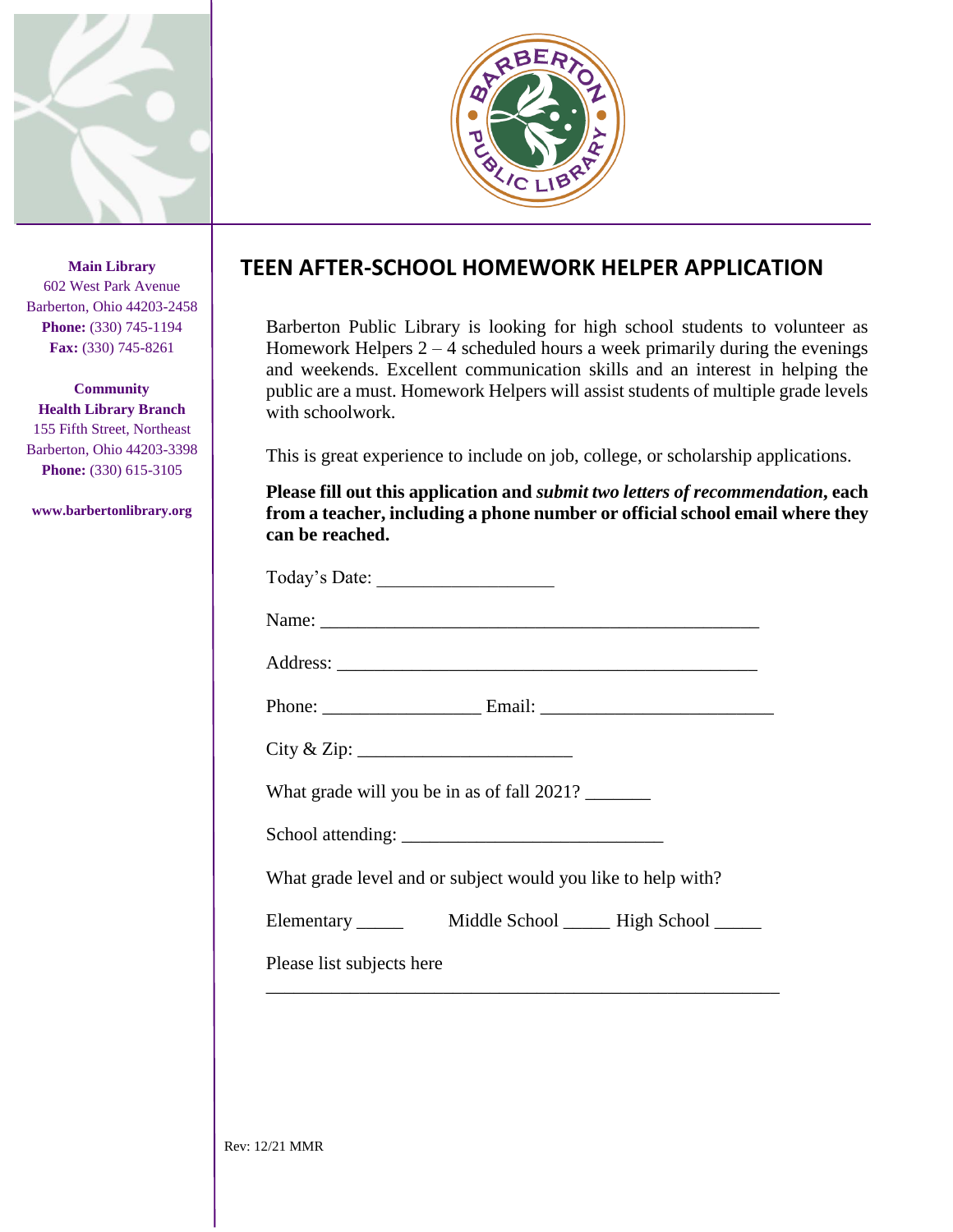

**Main Library** 602 West Park Avenue Barberton, Ohio 44203-2458 **Phone:** (330) 745-1194 **Fax:** (330) 745-8261

**Community Health Library Branch** 155 Fifth Street, Northeast Barberton, Ohio 44203-3398 **Phone:** (330) 615-3105

**www.barbertonlibrary.org**



## **TEEN AFTER-SCHOOL HOMEWORK HELPER APPLICATION**

Barberton Public Library is looking for high school students to volunteer as Homework Helpers  $2 - 4$  scheduled hours a week primarily during the evenings and weekends. Excellent communication skills and an interest in helping the public are a must. Homework Helpers will assist students of multiple grade levels with schoolwork.

This is great experience to include on job, college, or scholarship applications.

**Please fill out this application and** *submit two letters of recommendation***, each from a teacher, including a phone number or official school email where they can be reached.**

| What grade will you be in as of fall 2021?                   |
|--------------------------------------------------------------|
|                                                              |
| What grade level and or subject would you like to help with? |
|                                                              |
| Please list subjects here                                    |
|                                                              |